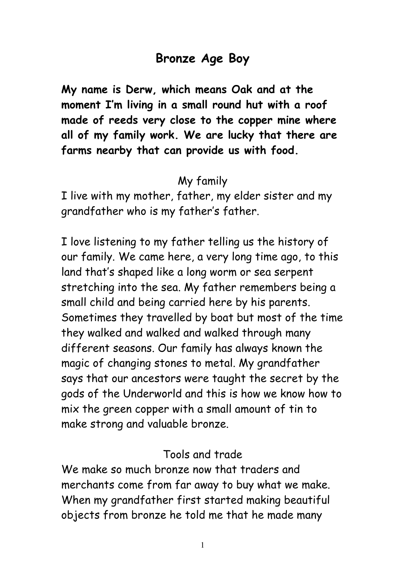# Bronze Age Boy

My name is Derw, which means Oak and at the moment I'm living in a small round hut with a roof made of reeds very close to the copper mine where all of my family work. We are lucky that there are farms nearby that can provide us with food.

## My family

I live with my mother, father, my elder sister and my grandfather who is my father's father.

I love listening to my father telling us the history of our family. We came here, a very long time ago, to this land that's shaped like a long worm or sea serpent stretching into the sea. My father remembers being a small child and being carried here by his parents. Sometimes they travelled by boat but most of the time they walked and walked and walked through many different seasons. Our family has always known the magic of changing stones to metal. My grandfather says that our ancestors were taught the secret by the gods of the Underworld and this is how we know how to mix the green copper with a small amount of tin to make strong and valuable bronze.

## Tools and trade

We make so much bronze now that traders and merchants come from far away to buy what we make. When my grandfather first started making beautiful objects from bronze he told me that he made many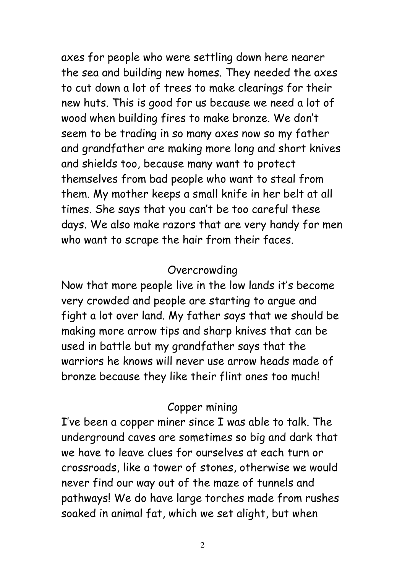axes for people who were settling down here nearer the sea and building new homes. They needed the axes to cut down a lot of trees to make clearings for their new huts. This is good for us because we need a lot of wood when building fires to make bronze. We don't seem to be trading in so many axes now so my father and grandfather are making more long and short knives and shields too, because many want to protect themselves from bad people who want to steal from them. My mother keeps a small knife in her belt at all times. She says that you can't be too careful these days. We also make razors that are very handy for men who want to scrape the hair from their faces.

#### Overcrowding

Now that more people live in the low lands it's become very crowded and people are starting to argue and fight a lot over land. My father says that we should be making more arrow tips and sharp knives that can be used in battle but my grandfather says that the warriors he knows will never use arrow heads made of bronze because they like their flint ones too much!

## Copper mining

I've been a copper miner since I was able to talk. The underground caves are sometimes so big and dark that we have to leave clues for ourselves at each turn or crossroads, like a tower of stones, otherwise we would never find our way out of the maze of tunnels and pathways! We do have large torches made from rushes soaked in animal fat, which we set alight, but when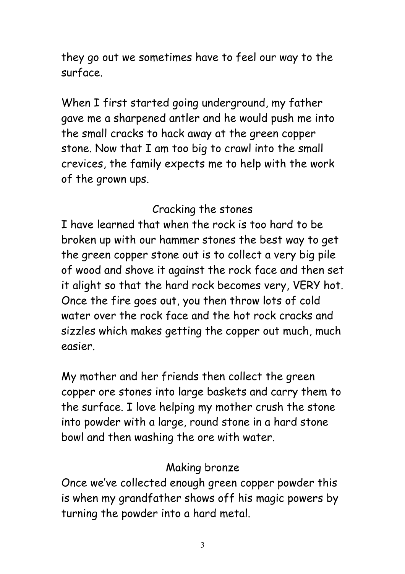they go out we sometimes have to feel our way to the surface.

When I first started going underground, my father gave me a sharpened antler and he would push me into the small cracks to hack away at the green copper stone. Now that I am too big to crawl into the small crevices, the family expects me to help with the work of the grown ups.

#### Cracking the stones

I have learned that when the rock is too hard to be broken up with our hammer stones the best way to get the green copper stone out is to collect a very big pile of wood and shove it against the rock face and then set it alight so that the hard rock becomes very, VERY hot. Once the fire goes out, you then throw lots of cold water over the rock face and the hot rock cracks and sizzles which makes getting the copper out much, much easier.

My mother and her friends then collect the green copper ore stones into large baskets and carry them to the surface. I love helping my mother crush the stone into powder with a large, round stone in a hard stone bowl and then washing the ore with water.

## Making bronze

Once we've collected enough green copper powder this is when my grandfather shows off his magic powers by turning the powder into a hard metal.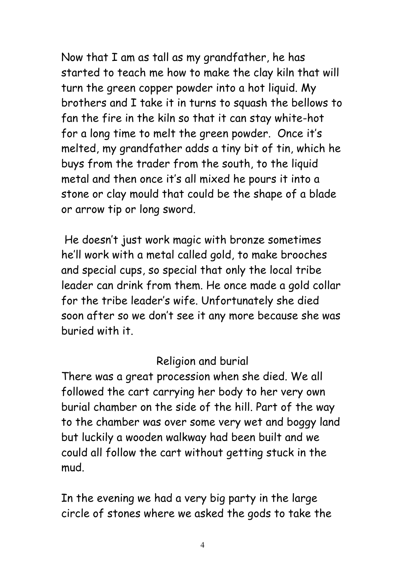Now that I am as tall as my grandfather, he has started to teach me how to make the clay kiln that will turn the green copper powder into a hot liquid. My brothers and I take it in turns to squash the bellows to fan the fire in the kiln so that it can stay white-hot for a long time to melt the green powder. Once it's melted, my grandfather adds a tiny bit of tin, which he buys from the trader from the south, to the liquid metal and then once it's all mixed he pours it into a stone or clay mould that could be the shape of a blade or arrow tip or long sword.

 He doesn't just work magic with bronze sometimes he'll work with a metal called gold, to make brooches and special cups, so special that only the local tribe leader can drink from them. He once made a gold collar for the tribe leader's wife. Unfortunately she died soon after so we don't see it any more because she was buried with it.

#### Religion and burial

There was a great procession when she died. We all followed the cart carrying her body to her very own burial chamber on the side of the hill. Part of the way to the chamber was over some very wet and boggy land but luckily a wooden walkway had been built and we could all follow the cart without getting stuck in the mud.

In the evening we had a very big party in the large circle of stones where we asked the gods to take the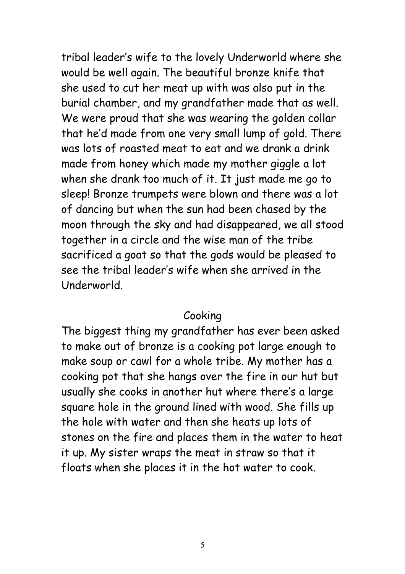tribal leader's wife to the lovely Underworld where she would be well again. The beautiful bronze knife that she used to cut her meat up with was also put in the burial chamber, and my grandfather made that as well. We were proud that she was wearing the golden collar that he'd made from one very small lump of gold. There was lots of roasted meat to eat and we drank a drink made from honey which made my mother giggle a lot when she drank too much of it. It just made me go to sleep! Bronze trumpets were blown and there was a lot of dancing but when the sun had been chased by the moon through the sky and had disappeared, we all stood together in a circle and the wise man of the tribe sacrificed a goat so that the gods would be pleased to see the tribal leader's wife when she arrived in the Underworld.

#### Cooking

The biggest thing my grandfather has ever been asked to make out of bronze is a cooking pot large enough to make soup or cawl for a whole tribe. My mother has a cooking pot that she hangs over the fire in our hut but usually she cooks in another hut where there's a large square hole in the ground lined with wood. She fills up the hole with water and then she heats up lots of stones on the fire and places them in the water to heat it up. My sister wraps the meat in straw so that it floats when she places it in the hot water to cook.